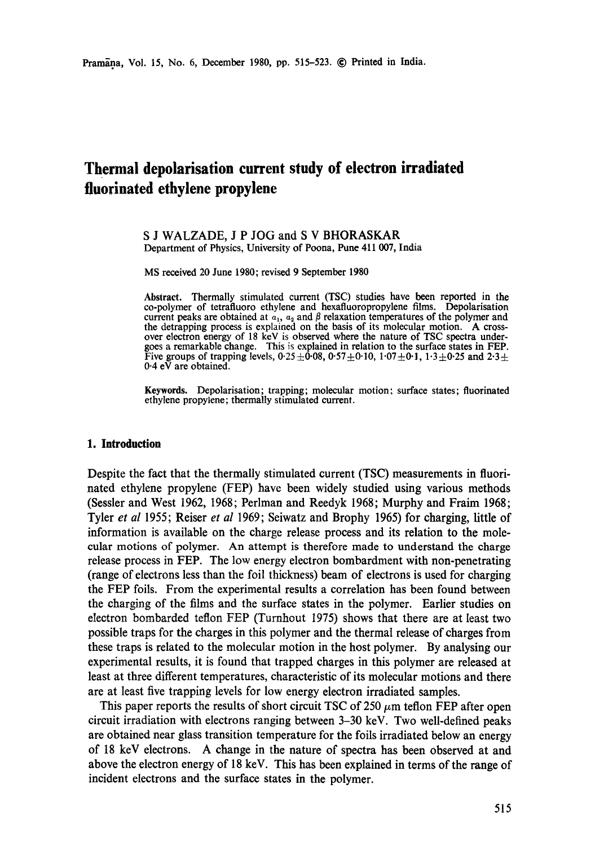# **Thermal depolarisation current study of electron irradiated fluorinated ethylene propylene**

#### S J WALZADE, J P JOG and S V BHORASKAR Department of Physics, University of Poona, Pune 411 007, India

MS received 20 June 1980; revised 9 September 1980

**Abstract.** Thermally stimulated current (TSC) studies have been reported in **the**  co-polymer of tetrafluoro ethylene and hexafluoropropylene films. Depolarisation current peaks are obtained at  $a_1$ ,  $a_2$  and  $\beta$  relaxation temperatures of the polymer and the detrapping process is explained on the basis of its molecular motion. A crossover electron energy of 18 keV is observed where the nature of TSC spectra undergoes a remarkable change. This is explained in relation to the surface states in FEP. Five groups of trapping levels,  $0.25 \pm 0.08$ ,  $0.57 \pm 0.10$ ,  $1.07 \pm 0.1$ ,  $1.3 \pm 0.25$  and  $2.3 \pm 0.25$ 0.4 eV are obtained.

**Keywords.** Depolarisation; trapping; molecular motion; surface states; fluorinated ethylene propylene; thermally stimulated current.

#### **1. Introduction**

Despite the fact that the thermally stimulated current (TSC) measurements in fluorinated ethylene propylene (FEP) have been widely studied using various methods (Sessler and West 1962, 1968; Perlman and Reedyk 1968; Murphy and Fraim 1968; Tyler *et al* 1955; Reiser *et al* 1969; Seiwatz and Brophy 1965) for charging, little of information is available on the charge release process and its relation to the molecular motions of polymer. An attempt is therefore made to understand the charge release process in FEP. The low energy electron bombardment with non-penetrating (range of electrons less than the foil thickness) beam of electrons is used for charging the FEP foils. From the experimental results a correlation has been found between the charging of the films and the surface states in the polymer. Earlier studies on electron bombarded teflon FEP (Turnhout 1975) shows that there are at least two possible traps for the charges in this polymer and the thermal release of charges from these traps is related to the molecular motion in the host polymer. By analysing our experimental results, it is found that trapped charges in this polymer are released at least at three different temperatures, characteristic of its molecular motions and there are at least five trapping levels for low energy electron irradiated samples.

This paper reports the results of short circuit TSC of 250  $\mu$ m teflon FEP after open circuit irradiation with electrons ranging between 3-30 keV. Two well-defined peaks are obtained near glass transition temperature for the foils irradiated below an energy of 18 keV electrons. A change in the nature of spectra has been observed at and above the electron energy of 18 keV. This has been explained in terms of the range of incident electrons and the surface states in the polymer.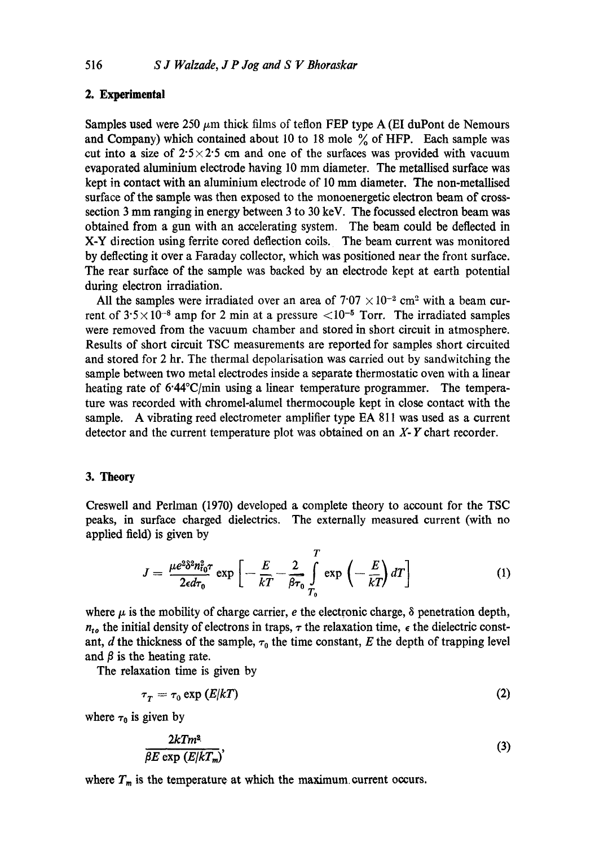# **2. Experimental**

Samples used were 250  $\mu$ m thick films of teflon FEP type A (EI duPont de Nemours and Company) which contained about 10 to 18 mole  $\%$  of HFP. Each sample was cut into a size of  $2.5 \times 2.5$  cm and one of the surfaces was provided with vacuum evaporated aluminium electrode having 10 mm diameter. The metallised surface was kept in contact with an aluminium electrode of 10 mm diameter. The non-metallised surface of the sample was then exposed to the monoenergetie electron beam of crosssection 3 mm ranging in energy between 3 to 30 keV. The focussed electron beam was obtained from a gun with an accelerating system. The beam could be deflected in X-Y direction using ferrite cored deflection coils. The beam current was monitored by deflecting it over a Faraday collector, which was positioned near the front surface. The rear surface of the sample was backed by an electrode kept at earth potential during electron irradiation.

All the samples were irradiated over an area of  $7.07 \times 10^{-2}$  cm<sup>2</sup> with a beam current of  $3.5 \times 10^{-8}$  amp for 2 min at a pressure  $\langle 10^{-5}$  Torr. The irradiated samples were removed from the vacuum chamber and stored in short circuit in atmosphere. Results of short circuit TSC measurements are reported for samples short circuited and stored for 2 hr. The thermal depolarisation was carried out by sandwitching the sample between two metal electrodes inside a separate thermostatic oven with a linear heating rate of  $6.44^{\circ}C/\text{min}$  using a linear temperature programmer. The temperature was recorded with chromel-alumel thermocouple kept in close contact with the sample. A vibrating reed electrometer amplifier type EA 811 was used as a current detector and the current temperature plot was obtained on an X- Y chart recorder.

# 3. Theory

Creswell and Perlman (1970) developed a complete theory to account for the TSC peaks, in surface charged dielectrics. The externally measured current (with no applied field) is given by

$$
J = \frac{\mu e^{2\delta^2 n_{t0}^2 \tau}}{2\epsilon d\tau_0} \exp\left[-\frac{E}{kT} - \frac{2}{\beta \tau_0} \int_{T_0}^T \exp\left(-\frac{E}{kT}\right) dT\right]
$$
(1)

where  $\mu$  is the mobility of charge carrier, e the electronic charge,  $\delta$  penetration depth,  $n_{to}$  the initial density of electrons in traps,  $\tau$  the relaxation time,  $\epsilon$  the dielectric constant, d the thickness of the sample,  $\tau_0$  the time constant, E the depth of trapping level and  $\beta$  is the heating rate.

The relaxation time is given by

$$
\tau_T = \tau_0 \exp\left(E/kT\right) \tag{2}
$$

where  $\tau_0$  is given by

$$
\frac{2kTm^2}{\beta E \exp\left(E/kT_m\right)},\tag{3}
$$

where  $T_m$  is the temperature at which the maximum current occurs.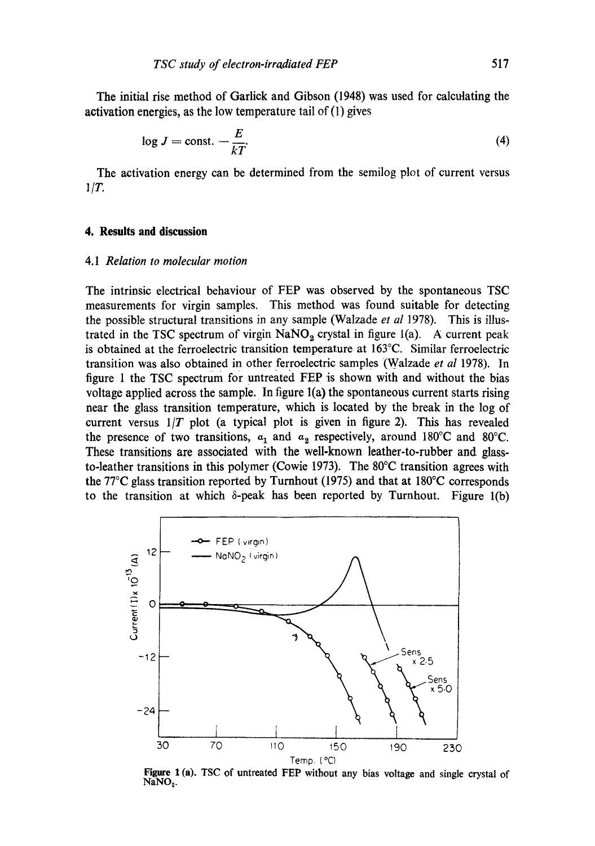The initial rise method of Garlick and Gibson (1948) was used for calculating the activation energies, as the low temperature tail of (1) gives

$$
\log J = \text{const.} - \frac{E}{kT}.\tag{4}
$$

The activation energy can be determined from the semilog plot of current versus  $1/T$ .

## **4. Results and discussion**

#### 4.1 *Relation to molecular motion*

The intrinsic electrical behaviour of FEP was observed by the spontaneous TSC measurements for virgin samples. This method was found suitable for detecting the possible structural transitions in any sample (Walzade *et al* 1978). This is illustrated in the TSC spectrum of virgin  $NaNO<sub>2</sub>$  crystal in figure 1(a). A current peak is obtained at the ferroelectric transition temperature at 163°C. Similar ferroelectric transition was also Obtained in other ferroelectric samples (Walzade *et al* 1978). In figure 1 the TSC spectrum for untreated FEP is shown with and without the bias voltage applied across the sample. In figure l(a) the spontaneous current starts rising near the glass transition temperature, which is located by the break in the log of current versus  $1/T$  plot (a typical plot is given in figure 2). This has revealed the presence of two transitions,  $a_1$  and  $a_2$  respectively, around 180°C and 80°C. These transitions are associated with the well-known leather-to-rubber and glassto-leather transitions in this polymer (Cowie 1973). The  $80^{\circ}$ C transition agrees with the 77°C glass transition reported by Turnhout (1975) and that at 180°C corresponds to the transition at which  $\delta$ -peak has been reported by Turnhout. Figure 1(b)



Figure 1 (a). TSC of untreated FEP without any bias voltage and single crystal of  $NaNO<sub>2</sub>$ .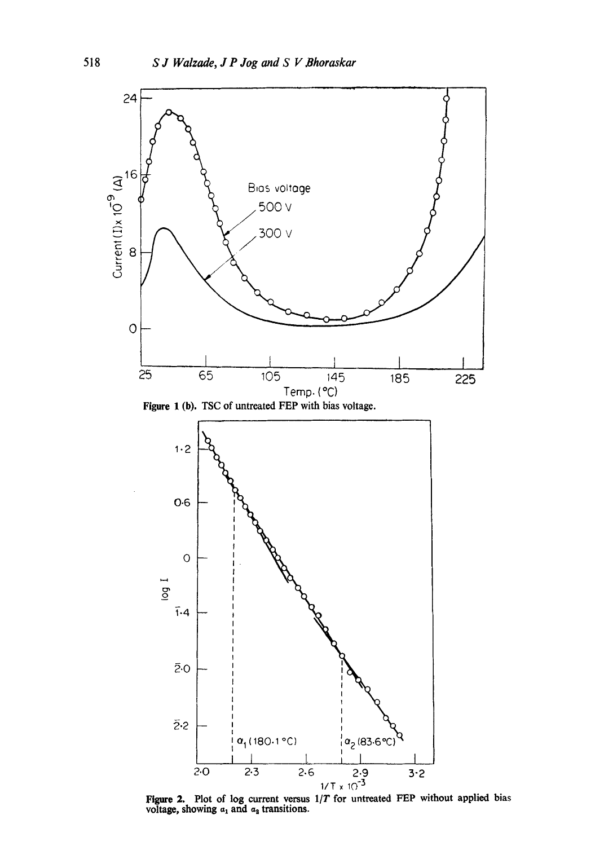

Figure 2. Plot of log current versus *1/T* for untreated FEP without applied bias voltage, showing  $a_1$  and  $a_3$  transitions.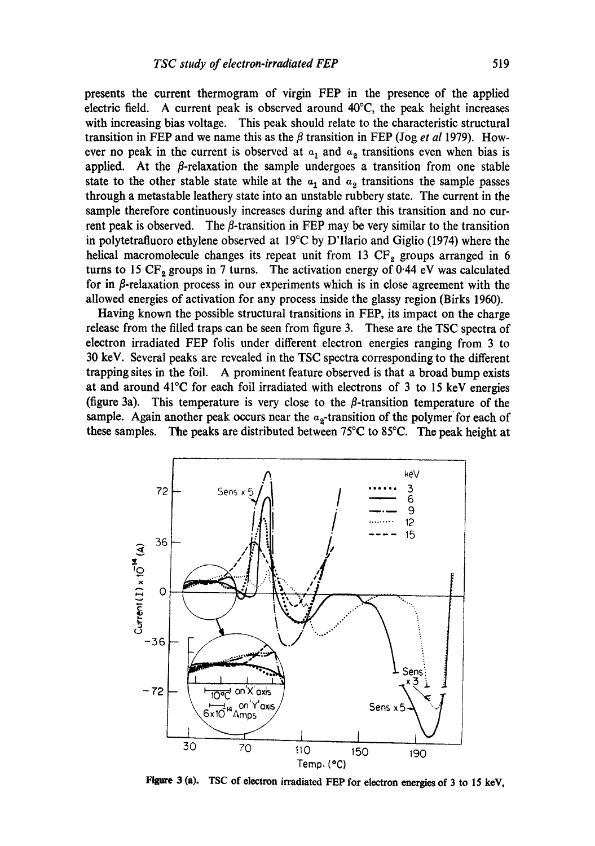presents the current thermogram of virgin FEP in the presence of the applied electric field. A current peak is observed around 40°C, the peak height increases with increasing bias voltage. This peak should relate to the characteristic structural transition in FEP and we name this as the  $\beta$  transition in FEP (Jog *et al* 1979). However no peak in the current is observed at  $a_1$  and  $a_2$  transitions even when bias is applied. At the  $\beta$ -relaxation the sample undergoes a transition from one stable state to the other stable state while at the  $a_1$  and  $a_2$  transitions the sample passes through a metastable leathery state into an unstable rubbery state. The current in the sample therefore continuously increases during and after this transition and no current peak is observed. The  $\beta$ -transition in FEP may be very similar to the transition in polytetrafluoro ethylene observed at 19°C by D'Ilario and Giglio (1974) where the helical macromolecule changes its repeat unit from 13  $CF<sub>2</sub>$  groups arranged in 6 turns to 15  $CF_2$  groups in 7 turns. The activation energy of 0.44 eV was calculated for in  $\beta$ -relaxation process in our experiments which is in close agreement with the allowed energies of activation for any process inside the glassy region (Birks 1960).

Having known the possible structural transitions in FEP, its impact on the charge release from the filled traps can be seen from figure 3. These are the TSC spectra of electron irradiated FEP folis under different electron energies ranging from 3 to 30 keV. Several peaks are revealed in the TSC spectra corresponding to the different trapping sites in the foil. A prominent feature observed is that a broad bump exists at and around 41°C for each foil irradiated with electrons of 3 to 15 keV energies (figure 3a). This temperature is very close to the  $\beta$ -transition temperature of the sample. Again another peak occurs near the  $a_2$ -transition of the polymer for each of these samples. The peaks are distributed between 75 $\degree$ C to 85 $\degree$ C. The peak height at



Figure 3 (a). TSC of electron irradiated FEP for electron energies of 3 to 15 keV,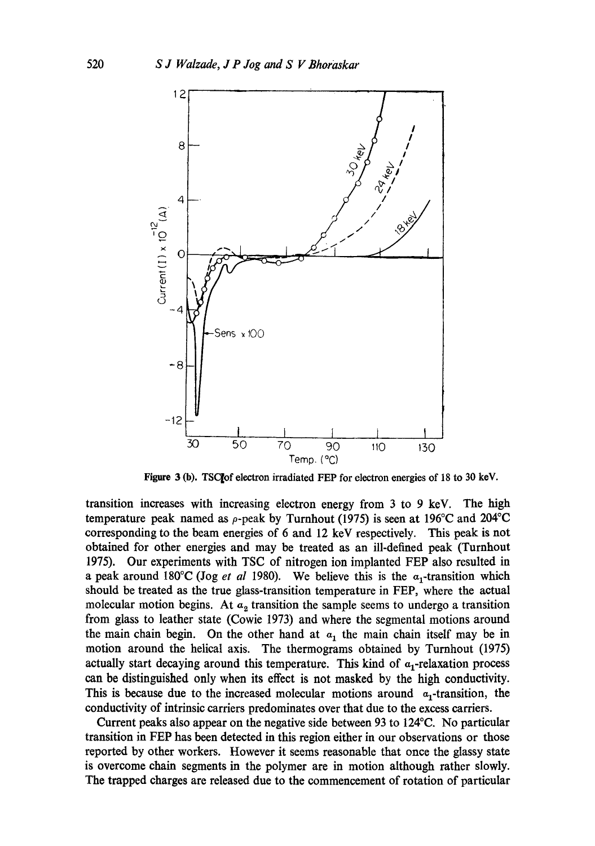

Figure 3 (b). TSCIof electron irradiated FEP for electron energies of 18 to 30 keY.

transition increases with increasing electron energy from 3 to 9 keV. The high temperature peak named as  $\rho$ -peak by Turnhout (1975) is seen at 196°C and 204°C corresponding to the beam energies of 6 and 12 keV respectively. This peak is not obtained for other energies and may be treated as an ill-defined peak (Turnhout 1975). Our experiments with TSC of nitrogen ion implanted FEP also resulted in **a** peak around 180°C (Jog *et al* 1980). We believe this is the  $a_1$ -transition which should be treated as the true glass-transition temperature in FEP, where the actual molecular motion begins. At  $a_2$  transition the sample seems to undergo a transition from glass to leather state (Cowie 1973) and where the segmental motions around the main chain begin. On the other hand at  $a_1$  the main chain itself may be in motion around the helical axis. The thermograms obtained by Turnhout (1975) actually start decaying around this temperature. This kind of  $\alpha_1$ -relaxation process can be distinguished only when its effect is not masked by the high conductivity. This is because due to the increased molecular motions around  $\alpha_1$ -transition, the conductivity of intrinsic carriers predominates over that due to the excess carriers.

Current peaks also appear on the negative side between 93 to 124°C. No particular transition in FEP has been detected in this region either in our observations or those reported by other workers. However it seems reasonable that once the glassy state is overcome chain segments in the polymer are in motion although rather slowly. The trapped charges are released due to the commencement of rotation of particular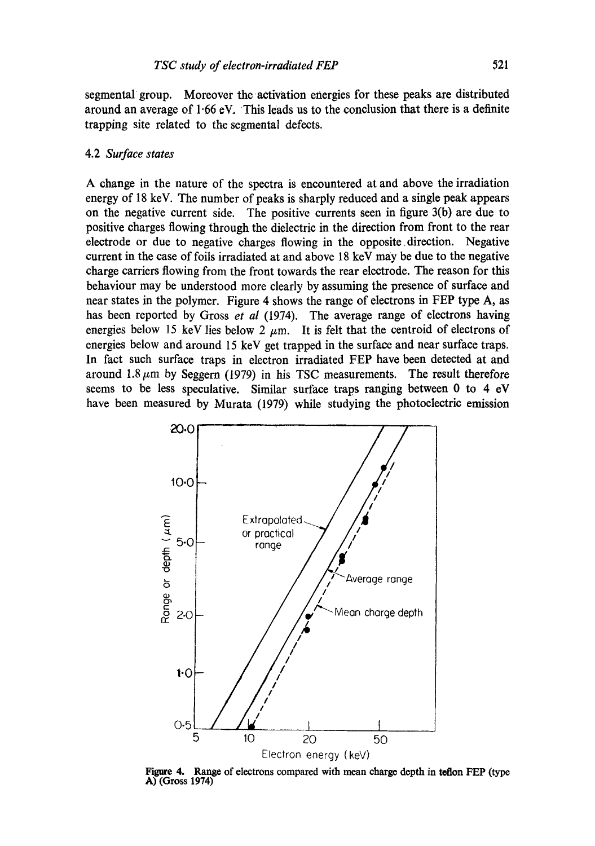segmental group. Moreover the activation energies for these peaks are distributed around an average of 1.66 eV, This leads us to the conclusion that there is a definite trapping site related to the segmental defects.

#### 4.2 *Surface states*

A change in the nature of the spectra is encountered at and above the irradiation energy of 18 keV. The number of peaks is sharply reduced and a single peak appears on the negative current side. The positive currents seen in figure 3(b) are due to positive charges flowing through the dielectric in the direction from front to the rear electrode or due to negative charges flowing in the opposite direction. Negative current in the case of foils irradiated at and above 18 keV may be due to the negative charge carriers flowing from the front towards the rear electrode. The reason for this behaviour may be understood more clearly by assuming the presence of surface and near states in the polymer. Figure 4 shows the range of electrons in FEP type A, as has been reported by Gross *et al* (1974). The average range of electrons having energies below 15 keV lies below 2  $\mu$ m. It is felt that the centroid of electrons of energies below and around 15 keV get trapped in the surface and near surface traps. In fact such surface traps in electron irradiated FEP have been detected at and around  $1.8~\mu$ m by Seggern (1979) in his TSC measurements. The result therefore seems to be less speculative. Similar surface traps ranging between 0 to 4 eV have been measured by Murata (1979) while studying the photoelectric emission



**Figure 4. Range of** electrons compared with mean charge depth in **teflon FEP** (type **A) (Gross 1974)**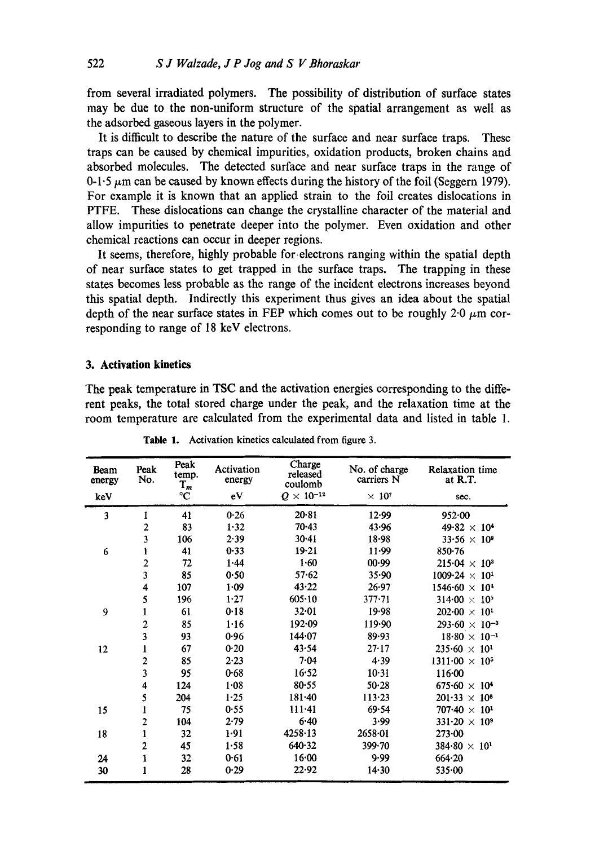from several irradiated polymers. The possibility of distribution of surface states may be due to the non-uniform structure of the spatial arrangement as well as the adsorbed gaseous layers in the polymer.

It is difficult to describe the nature of the surface and near surface traps. These traps can be caused by chemical impurities, oxidation products, broken chains and absorbed molecules. The detected surface and near surface traps in the range of 0-1.5  $\mu$ m can be caused by known effects during the history of the foil (Seggern 1979). For example it is known that an applied strain to the foil creates dislocations in PTFE. These dislocations can change the crystalline character of the material and allow impurities to penetrate deeper into the polymer. Even oxidation and other chemical reactions can occur in deeper regions.

It seems, therefore, highly probable for electrons ranging within the spatial depth of near surface states to get trapped in the surface traps. The trapping in these states becomes less probable as the range of the incident electrons increases beyond this spatial depth. Indirectly this experiment thus gives an idea about the spatial depth of the near surface states in FEP which comes out to be roughly  $2.0 \mu m$  corresponding to range of 18 keV electrons.

# **3. Activation kinetics**

The peak temperature in TSC and the activation energies corresponding to the different peaks, the total stored charge under the peak, and the relaxation time at the room temperature are calculated from the experimental data and listed in table 1.

| Beam<br>energy | Peak<br>No.             | Peak<br>temp.<br>$T_m$ | Activation<br>energy | Charge<br>released<br>coulomb | No. of charge<br>carriers N | <b>Relaxation</b> time<br>at R.T. |
|----------------|-------------------------|------------------------|----------------------|-------------------------------|-----------------------------|-----------------------------------|
| keV            |                         | $^{\circ}C$            | eV                   | $Q \times 10^{-12}$           | $\times 10^7$               | sec.                              |
| 3              | 1                       | 41                     | 0.26                 | 20.81                         | 12.99                       | 952.00                            |
|                | 2                       | 83                     | 1.32                 | $70 - 43$                     | 43.96                       | $49.82 \times 10^{4}$             |
|                | 3                       | 106                    | 2.39                 | 30.41                         | 18.98                       | $33.56 \times 10^{9}$             |
| 6              | 1                       | 41                     | 0.33                 | 19.21                         | 11.99                       | 850.76                            |
|                | $\overline{\mathbf{c}}$ | 72                     | 1.44                 | 1.60                          | 00.99                       | $215.04 \times 10^3$              |
|                | 3                       | 85                     | 0.50                 | 57.62                         | 35.90                       | $1009.24 \times 10^{1}$           |
|                | 4                       | 107                    | 1.09                 | 43.22                         | 26.97                       | $1546.60 \times 10^4$             |
|                | 5                       | 196                    | 1.27                 | 605.10                        | $377 - 71$                  | $314.00 \times 10^5$              |
| 9              | 1                       | 61                     | 0.18                 | 32.01                         | 19.98                       | $202.00 \times 10^{1}$            |
|                | $\overline{\mathbf{c}}$ | 85                     | 1.16                 | 192.09                        | 119.90                      | $293.60 \times 10^{-3}$           |
|                | 3                       | 93                     | 0.96                 | 144.07                        | 89.93                       | $18.80 \times 10^{-1}$            |
| 12             | 1                       | 67                     | 0.20                 | 43.54                         | 27.17                       | $235.60 \times 10^{1}$            |
|                | $\boldsymbol{2}$        | 85                     | 2.23                 | 7.04                          | 4.39                        | $1311 \cdot 00 \times 10^5$       |
|                | 3                       | 95                     | 0.68                 | 16.52                         | 10.31                       | 116.00                            |
|                | 4                       | 124                    | 1.08                 | 80.55                         | 50.28                       | $675.60 \times 10^4$              |
|                | 5                       | 204                    | $1 - 25$             | $181 - 40$                    | 113.23                      | $201.33 \times 10^{8}$            |
| 15             | $\mathbf{1}$            | 75                     | 0.55                 | $111 - 41$                    | 69.54                       | $707.40 \times 10^{1}$            |
|                | $\overline{c}$          | 104                    | 2.79                 | $6 - 40$                      | 3.99                        | $331.20 \times 10^9$              |
| 18             | $\mathbf{1}$            | 32                     | 1.91                 | 4258.13                       | 2658.01                     | 273.00                            |
|                | $\overline{c}$          | 45                     | 1.58                 | 640.32                        | 399.70                      | $384.80 \times 10^{1}$            |
| 24             | 1                       | 32                     | 0.61                 | $16 - 00$                     | 9.99                        | 664.20                            |
| 30             | 1                       | 28                     | 0.29                 | 22.92                         | $14-30$                     | 535.00                            |

**Table** 1. Activation kinetics calculated from figure 3,